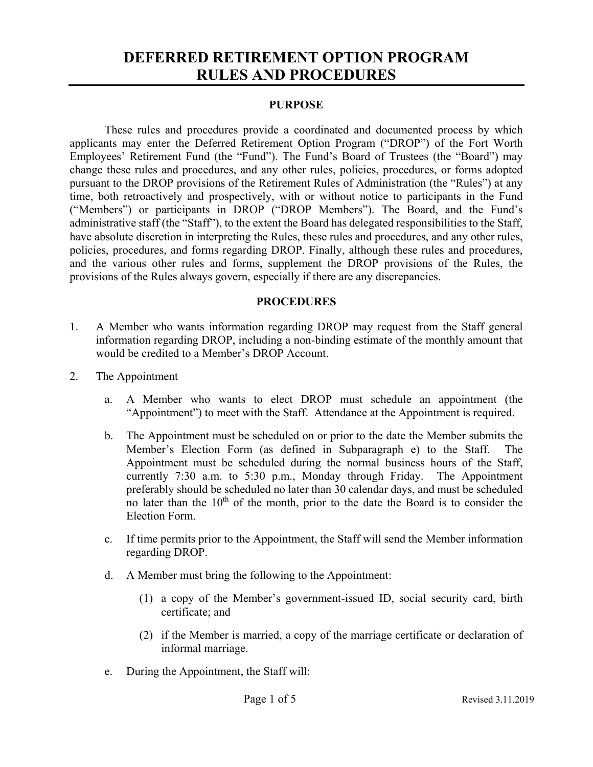## **DEFERRED RETIREMENT OPTION PROGRAM RULES AND PROCEDURES**

## **PURPOSE**

These rules and procedures provide a coordinated and documented process by which applicants may enter the Deferred Retirement Option Program ("DROP") of the Fort Worth Employees' Retirement Fund (the "Fund"). The Fund's Board of Trustees (the "Board") may change these rules and procedures, and any other rules, policies, procedures, or forms adopted pursuant to the DROP provisions of the Retirement Rules of Administration (the "Rules") at any time, both retroactively and prospectively, with or without notice to participants in the Fund ("Members") or participants in DROP ("DROP Members"). The Board, and the Fund's administrative staff (the "Staff"), to the extent the Board has delegated responsibilities to the Staff, have absolute discretion in interpreting the Rules, these rules and procedures, and any other rules, policies, procedures, and forms regarding DROP. Finally, although these rules and procedures, and the various other rules and forms, supplement the DROP provisions of the Rules, the provisions of the Rules always govern, especially if there are any discrepancies.

## **PROCEDURES**

- 1. A Member who wants information regarding DROP may request from the Staff general information regarding DROP, including a non-binding estimate of the monthly amount that would be credited to a Member's DROP Account.
- 2. The Appointment
	- a. A Member who wants to elect DROP must schedule an appointment (the "Appointment") to meet with the Staff. Attendance at the Appointment is required.
	- b. The Appointment must be scheduled on or prior to the date the Member submits the Member's Election Form (as defined in Subparagraph e) to the Staff. The Appointment must be scheduled during the normal business hours of the Staff, currently 7:30 a.m. to 5:30 p.m., Monday through Friday. The Appointment preferably should be scheduled no later than 30 calendar days, and must be scheduled no later than the  $10<sup>th</sup>$  of the month, prior to the date the Board is to consider the Election Form.
	- c. If time permits prior to the Appointment, the Staff will send the Member information regarding DROP.
	- d. A Member must bring the following to the Appointment:
		- (1) a copy of the Member's government-issued ID, social security card, birth certificate; and
		- (2) if the Member is married, a copy of the marriage certificate or declaration of informal marriage.
	- e. During the Appointment, the Staff will: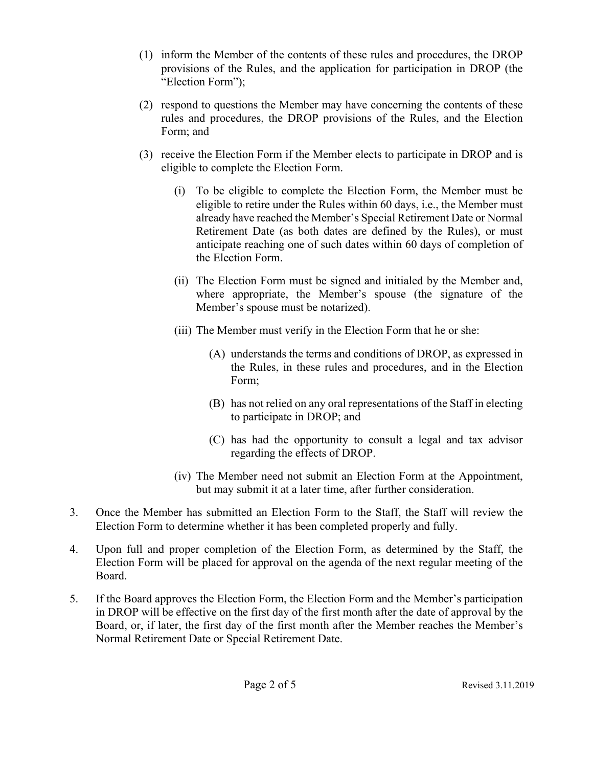- (1) inform the Member of the contents of these rules and procedures, the DROP provisions of the Rules, and the application for participation in DROP (the "Election Form");
- (2) respond to questions the Member may have concerning the contents of these rules and procedures, the DROP provisions of the Rules, and the Election Form; and
- (3) receive the Election Form if the Member elects to participate in DROP and is eligible to complete the Election Form.
	- (i) To be eligible to complete the Election Form, the Member must be eligible to retire under the Rules within 60 days, i.e., the Member must already have reached the Member's Special Retirement Date or Normal Retirement Date (as both dates are defined by the Rules), or must anticipate reaching one of such dates within 60 days of completion of the Election Form.
	- (ii) The Election Form must be signed and initialed by the Member and, where appropriate, the Member's spouse (the signature of the Member's spouse must be notarized).
	- (iii) The Member must verify in the Election Form that he or she:
		- (A) understands the terms and conditions of DROP, as expressed in the Rules, in these rules and procedures, and in the Election Form;
		- (B) has not relied on any oral representations of the Staff in electing to participate in DROP; and
		- (C) has had the opportunity to consult a legal and tax advisor regarding the effects of DROP.
	- (iv) The Member need not submit an Election Form at the Appointment, but may submit it at a later time, after further consideration.
- 3. Once the Member has submitted an Election Form to the Staff, the Staff will review the Election Form to determine whether it has been completed properly and fully.
- 4. Upon full and proper completion of the Election Form, as determined by the Staff, the Election Form will be placed for approval on the agenda of the next regular meeting of the Board.
- 5. If the Board approves the Election Form, the Election Form and the Member's participation in DROP will be effective on the first day of the first month after the date of approval by the Board, or, if later, the first day of the first month after the Member reaches the Member's Normal Retirement Date or Special Retirement Date.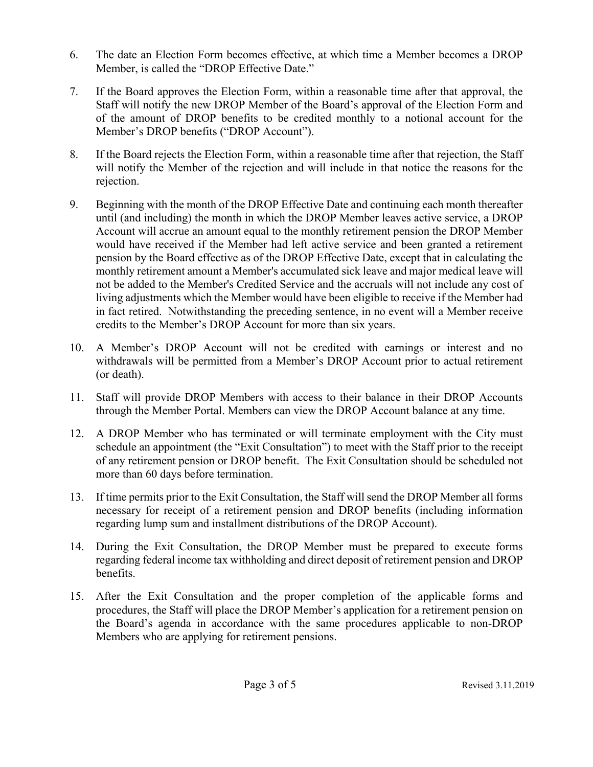- 6. The date an Election Form becomes effective, at which time a Member becomes a DROP Member, is called the "DROP Effective Date."
- 7. If the Board approves the Election Form, within a reasonable time after that approval, the Staff will notify the new DROP Member of the Board's approval of the Election Form and of the amount of DROP benefits to be credited monthly to a notional account for the Member's DROP benefits ("DROP Account").
- 8. If the Board rejects the Election Form, within a reasonable time after that rejection, the Staff will notify the Member of the rejection and will include in that notice the reasons for the rejection.
- 9. Beginning with the month of the DROP Effective Date and continuing each month thereafter until (and including) the month in which the DROP Member leaves active service, a DROP Account will accrue an amount equal to the monthly retirement pension the DROP Member would have received if the Member had left active service and been granted a retirement pension by the Board effective as of the DROP Effective Date, except that in calculating the monthly retirement amount a Member's accumulated sick leave and major medical leave will not be added to the Member's Credited Service and the accruals will not include any cost of living adjustments which the Member would have been eligible to receive if the Member had in fact retired. Notwithstanding the preceding sentence, in no event will a Member receive credits to the Member's DROP Account for more than six years.
- 10. A Member's DROP Account will not be credited with earnings or interest and no withdrawals will be permitted from a Member's DROP Account prior to actual retirement (or death).
- 11. Staff will provide DROP Members with access to their balance in their DROP Accounts through the Member Portal. Members can view the DROP Account balance at any time.
- 12. A DROP Member who has terminated or will terminate employment with the City must schedule an appointment (the "Exit Consultation") to meet with the Staff prior to the receipt of any retirement pension or DROP benefit. The Exit Consultation should be scheduled not more than 60 days before termination.
- 13. If time permits prior to the Exit Consultation, the Staff will send the DROP Member all forms necessary for receipt of a retirement pension and DROP benefits (including information regarding lump sum and installment distributions of the DROP Account).
- 14. During the Exit Consultation, the DROP Member must be prepared to execute forms regarding federal income tax withholding and direct deposit of retirement pension and DROP benefits.
- 15. After the Exit Consultation and the proper completion of the applicable forms and procedures, the Staff will place the DROP Member's application for a retirement pension on the Board's agenda in accordance with the same procedures applicable to non-DROP Members who are applying for retirement pensions.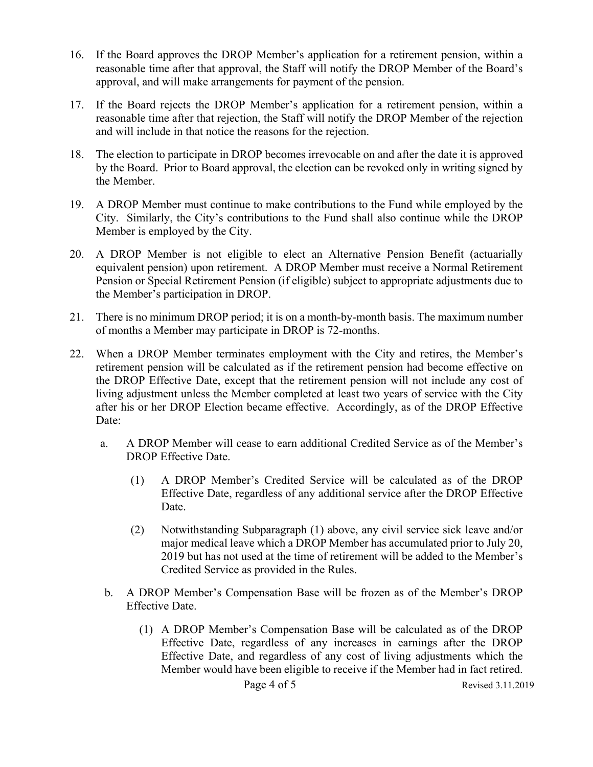- 16. If the Board approves the DROP Member's application for a retirement pension, within a reasonable time after that approval, the Staff will notify the DROP Member of the Board's approval, and will make arrangements for payment of the pension.
- 17. If the Board rejects the DROP Member's application for a retirement pension, within a reasonable time after that rejection, the Staff will notify the DROP Member of the rejection and will include in that notice the reasons for the rejection.
- 18. The election to participate in DROP becomes irrevocable on and after the date it is approved by the Board. Prior to Board approval, the election can be revoked only in writing signed by the Member.
- 19. A DROP Member must continue to make contributions to the Fund while employed by the City. Similarly, the City's contributions to the Fund shall also continue while the DROP Member is employed by the City.
- 20. A DROP Member is not eligible to elect an Alternative Pension Benefit (actuarially equivalent pension) upon retirement. A DROP Member must receive a Normal Retirement Pension or Special Retirement Pension (if eligible) subject to appropriate adjustments due to the Member's participation in DROP.
- 21. There is no minimum DROP period; it is on a month-by-month basis. The maximum number of months a Member may participate in DROP is 72-months.
- 22. When a DROP Member terminates employment with the City and retires, the Member's retirement pension will be calculated as if the retirement pension had become effective on the DROP Effective Date, except that the retirement pension will not include any cost of living adjustment unless the Member completed at least two years of service with the City after his or her DROP Election became effective. Accordingly, as of the DROP Effective Date:
	- a. A DROP Member will cease to earn additional Credited Service as of the Member's DROP Effective Date.
		- (1) A DROP Member's Credited Service will be calculated as of the DROP Effective Date, regardless of any additional service after the DROP Effective Date.
		- (2) Notwithstanding Subparagraph (1) above, any civil service sick leave and/or major medical leave which a DROP Member has accumulated prior to July 20, 2019 but has not used at the time of retirement will be added to the Member's Credited Service as provided in the Rules.
	- b. A DROP Member's Compensation Base will be frozen as of the Member's DROP Effective Date.
		- (1) A DROP Member's Compensation Base will be calculated as of the DROP Effective Date, regardless of any increases in earnings after the DROP Effective Date, and regardless of any cost of living adjustments which the Member would have been eligible to receive if the Member had in fact retired.